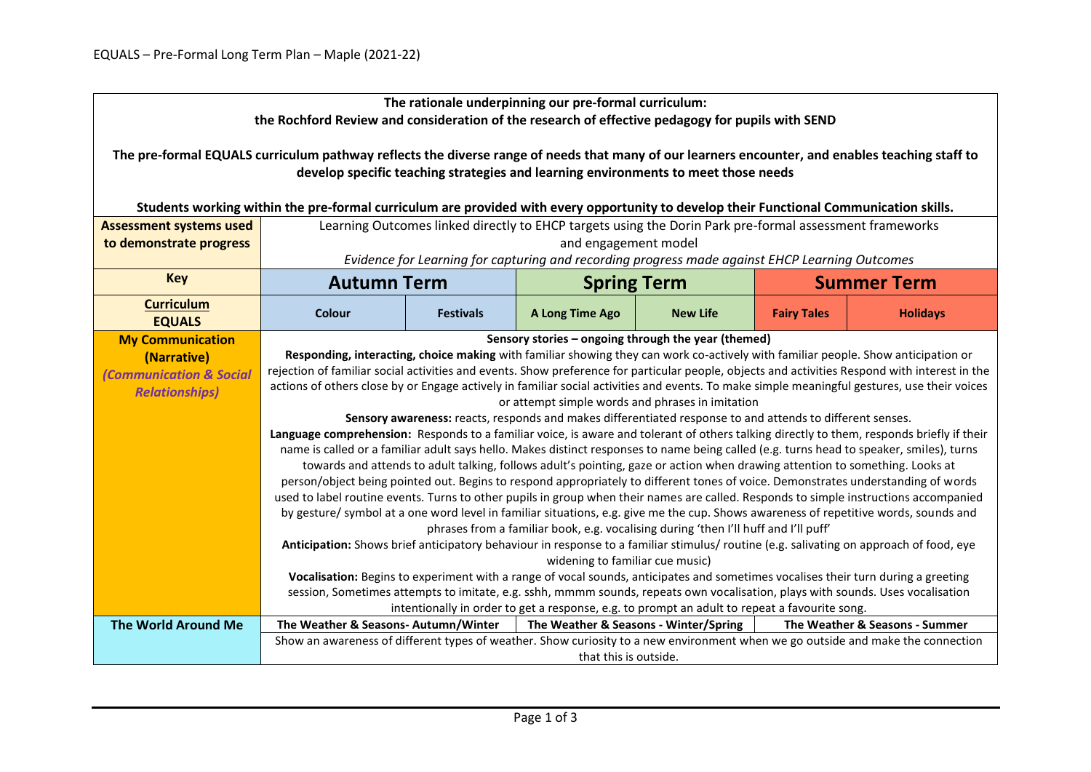| The rationale underpinning our pre-formal curriculum:<br>the Rochford Review and consideration of the research of effective pedagogy for pupils with SEND                                                                             |                                                                                                                                                                                                                                                                                                                                                                                                                                                                                                                                                                                                                                                                                                                                                                                                                                                                                                                                                                                                                                                                                                                                                                                                                                                                                                                                                                                                                                                                                                                                                                                                                                                                                                                                                                                                                                                                                                                                                                                                                                                                                                                                                       |                                          |                                       |                 |                    |                                |  |  |
|---------------------------------------------------------------------------------------------------------------------------------------------------------------------------------------------------------------------------------------|-------------------------------------------------------------------------------------------------------------------------------------------------------------------------------------------------------------------------------------------------------------------------------------------------------------------------------------------------------------------------------------------------------------------------------------------------------------------------------------------------------------------------------------------------------------------------------------------------------------------------------------------------------------------------------------------------------------------------------------------------------------------------------------------------------------------------------------------------------------------------------------------------------------------------------------------------------------------------------------------------------------------------------------------------------------------------------------------------------------------------------------------------------------------------------------------------------------------------------------------------------------------------------------------------------------------------------------------------------------------------------------------------------------------------------------------------------------------------------------------------------------------------------------------------------------------------------------------------------------------------------------------------------------------------------------------------------------------------------------------------------------------------------------------------------------------------------------------------------------------------------------------------------------------------------------------------------------------------------------------------------------------------------------------------------------------------------------------------------------------------------------------------------|------------------------------------------|---------------------------------------|-----------------|--------------------|--------------------------------|--|--|
| The pre-formal EQUALS curriculum pathway reflects the diverse range of needs that many of our learners encounter, and enables teaching staff to<br>develop specific teaching strategies and learning environments to meet those needs |                                                                                                                                                                                                                                                                                                                                                                                                                                                                                                                                                                                                                                                                                                                                                                                                                                                                                                                                                                                                                                                                                                                                                                                                                                                                                                                                                                                                                                                                                                                                                                                                                                                                                                                                                                                                                                                                                                                                                                                                                                                                                                                                                       |                                          |                                       |                 |                    |                                |  |  |
| Students working within the pre-formal curriculum are provided with every opportunity to develop their Functional Communication skills.                                                                                               |                                                                                                                                                                                                                                                                                                                                                                                                                                                                                                                                                                                                                                                                                                                                                                                                                                                                                                                                                                                                                                                                                                                                                                                                                                                                                                                                                                                                                                                                                                                                                                                                                                                                                                                                                                                                                                                                                                                                                                                                                                                                                                                                                       |                                          |                                       |                 |                    |                                |  |  |
| <b>Assessment systems used</b>                                                                                                                                                                                                        | Learning Outcomes linked directly to EHCP targets using the Dorin Park pre-formal assessment frameworks                                                                                                                                                                                                                                                                                                                                                                                                                                                                                                                                                                                                                                                                                                                                                                                                                                                                                                                                                                                                                                                                                                                                                                                                                                                                                                                                                                                                                                                                                                                                                                                                                                                                                                                                                                                                                                                                                                                                                                                                                                               |                                          |                                       |                 |                    |                                |  |  |
| to demonstrate progress                                                                                                                                                                                                               |                                                                                                                                                                                                                                                                                                                                                                                                                                                                                                                                                                                                                                                                                                                                                                                                                                                                                                                                                                                                                                                                                                                                                                                                                                                                                                                                                                                                                                                                                                                                                                                                                                                                                                                                                                                                                                                                                                                                                                                                                                                                                                                                                       |                                          | and engagement model                  |                 |                    |                                |  |  |
|                                                                                                                                                                                                                                       | Evidence for Learning for capturing and recording progress made against EHCP Learning Outcomes                                                                                                                                                                                                                                                                                                                                                                                                                                                                                                                                                                                                                                                                                                                                                                                                                                                                                                                                                                                                                                                                                                                                                                                                                                                                                                                                                                                                                                                                                                                                                                                                                                                                                                                                                                                                                                                                                                                                                                                                                                                        |                                          |                                       |                 |                    |                                |  |  |
| <b>Key</b>                                                                                                                                                                                                                            |                                                                                                                                                                                                                                                                                                                                                                                                                                                                                                                                                                                                                                                                                                                                                                                                                                                                                                                                                                                                                                                                                                                                                                                                                                                                                                                                                                                                                                                                                                                                                                                                                                                                                                                                                                                                                                                                                                                                                                                                                                                                                                                                                       | <b>Autumn Term</b><br><b>Spring Term</b> |                                       |                 | <b>Summer Term</b> |                                |  |  |
| <b>Curriculum</b><br><b>EQUALS</b>                                                                                                                                                                                                    | Colour                                                                                                                                                                                                                                                                                                                                                                                                                                                                                                                                                                                                                                                                                                                                                                                                                                                                                                                                                                                                                                                                                                                                                                                                                                                                                                                                                                                                                                                                                                                                                                                                                                                                                                                                                                                                                                                                                                                                                                                                                                                                                                                                                | <b>Festivals</b>                         | A Long Time Ago                       | <b>New Life</b> | <b>Fairy Tales</b> | <b>Holidays</b>                |  |  |
| <b>My Communication</b><br>(Narrative)<br><b>Communication &amp; Social</b><br><b>Relationships)</b>                                                                                                                                  | Sensory stories - ongoing through the year (themed)<br>Responding, interacting, choice making with familiar showing they can work co-actively with familiar people. Show anticipation or<br>rejection of familiar social activities and events. Show preference for particular people, objects and activities Respond with interest in the<br>actions of others close by or Engage actively in familiar social activities and events. To make simple meaningful gestures, use their voices<br>or attempt simple words and phrases in imitation<br>Sensory awareness: reacts, responds and makes differentiated response to and attends to different senses.<br>Language comprehension: Responds to a familiar voice, is aware and tolerant of others talking directly to them, responds briefly if their<br>name is called or a familiar adult says hello. Makes distinct responses to name being called (e.g. turns head to speaker, smiles), turns<br>towards and attends to adult talking, follows adult's pointing, gaze or action when drawing attention to something. Looks at<br>person/object being pointed out. Begins to respond appropriately to different tones of voice. Demonstrates understanding of words<br>used to label routine events. Turns to other pupils in group when their names are called. Responds to simple instructions accompanied<br>by gesture/ symbol at a one word level in familiar situations, e.g. give me the cup. Shows awareness of repetitive words, sounds and<br>phrases from a familiar book, e.g. vocalising during 'then I'll huff and I'll puff'<br>Anticipation: Shows brief anticipatory behaviour in response to a familiar stimulus/routine (e.g. salivating on approach of food, eye<br>widening to familiar cue music)<br>Vocalisation: Begins to experiment with a range of vocal sounds, anticipates and sometimes vocalises their turn during a greeting<br>session, Sometimes attempts to imitate, e.g. sshh, mmmm sounds, repeats own vocalisation, plays with sounds. Uses vocalisation<br>intentionally in order to get a response, e.g. to prompt an adult to repeat a favourite song. |                                          |                                       |                 |                    |                                |  |  |
| <b>The World Around Me</b>                                                                                                                                                                                                            | The Weather & Seasons-Autumn/Winter                                                                                                                                                                                                                                                                                                                                                                                                                                                                                                                                                                                                                                                                                                                                                                                                                                                                                                                                                                                                                                                                                                                                                                                                                                                                                                                                                                                                                                                                                                                                                                                                                                                                                                                                                                                                                                                                                                                                                                                                                                                                                                                   |                                          | The Weather & Seasons - Winter/Spring |                 |                    | The Weather & Seasons - Summer |  |  |
|                                                                                                                                                                                                                                       | Show an awareness of different types of weather. Show curiosity to a new environment when we go outside and make the connection<br>that this is outside.                                                                                                                                                                                                                                                                                                                                                                                                                                                                                                                                                                                                                                                                                                                                                                                                                                                                                                                                                                                                                                                                                                                                                                                                                                                                                                                                                                                                                                                                                                                                                                                                                                                                                                                                                                                                                                                                                                                                                                                              |                                          |                                       |                 |                    |                                |  |  |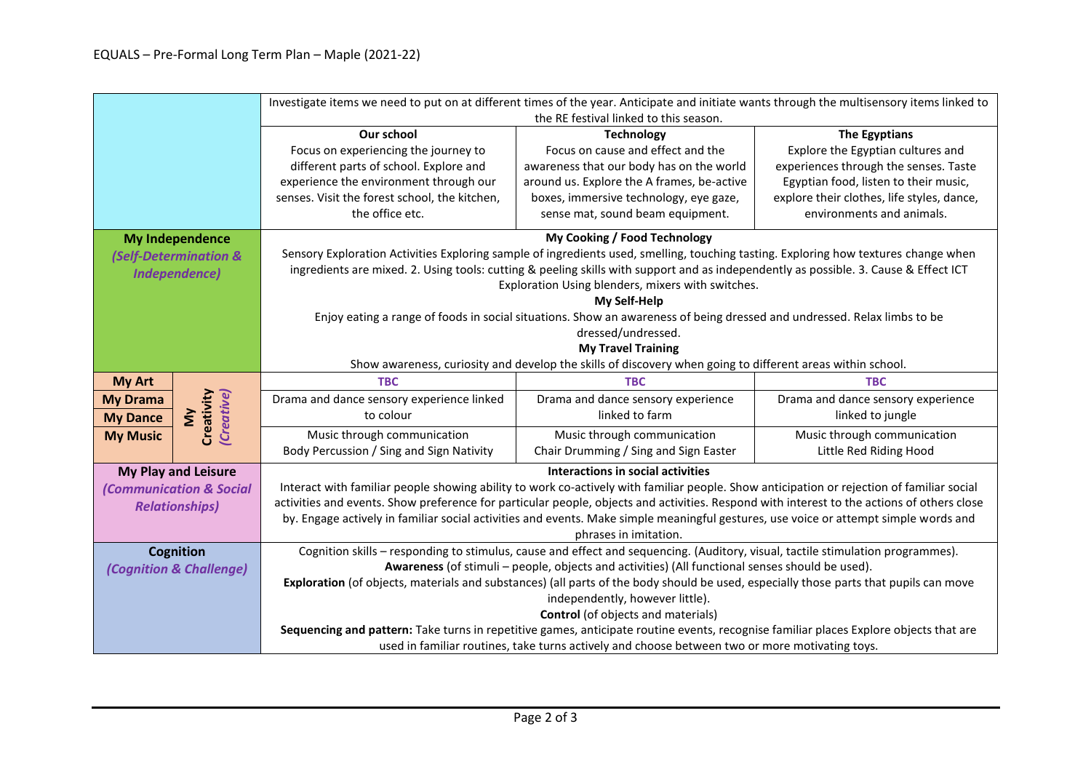|                                                                                                            |                                              | Investigate items we need to put on at different times of the year. Anticipate and initiate wants through the multisensory items linked to |                                                                                                                                                                                                                                         |                                            |  |  |  |
|------------------------------------------------------------------------------------------------------------|----------------------------------------------|--------------------------------------------------------------------------------------------------------------------------------------------|-----------------------------------------------------------------------------------------------------------------------------------------------------------------------------------------------------------------------------------------|--------------------------------------------|--|--|--|
|                                                                                                            |                                              | the RE festival linked to this season.                                                                                                     |                                                                                                                                                                                                                                         |                                            |  |  |  |
|                                                                                                            |                                              | Our school                                                                                                                                 | <b>Technology</b>                                                                                                                                                                                                                       | The Egyptians                              |  |  |  |
|                                                                                                            |                                              | Focus on experiencing the journey to                                                                                                       | Focus on cause and effect and the                                                                                                                                                                                                       | Explore the Egyptian cultures and          |  |  |  |
|                                                                                                            |                                              | different parts of school. Explore and                                                                                                     | awareness that our body has on the world                                                                                                                                                                                                | experiences through the senses. Taste      |  |  |  |
|                                                                                                            |                                              | experience the environment through our                                                                                                     | around us. Explore the A frames, be-active                                                                                                                                                                                              | Egyptian food, listen to their music,      |  |  |  |
|                                                                                                            |                                              | senses. Visit the forest school, the kitchen,                                                                                              | boxes, immersive technology, eye gaze,                                                                                                                                                                                                  | explore their clothes, life styles, dance, |  |  |  |
|                                                                                                            |                                              | the office etc.                                                                                                                            | sense mat, sound beam equipment.                                                                                                                                                                                                        | environments and animals.                  |  |  |  |
|                                                                                                            | <b>My Independence</b>                       |                                                                                                                                            | My Cooking / Food Technology                                                                                                                                                                                                            |                                            |  |  |  |
|                                                                                                            | <b>(Self-Determination &amp;</b>             | Sensory Exploration Activities Exploring sample of ingredients used, smelling, touching tasting. Exploring how textures change when        |                                                                                                                                                                                                                                         |                                            |  |  |  |
|                                                                                                            | <b>Independence)</b>                         | ingredients are mixed. 2. Using tools: cutting & peeling skills with support and as independently as possible. 3. Cause & Effect ICT       |                                                                                                                                                                                                                                         |                                            |  |  |  |
|                                                                                                            |                                              |                                                                                                                                            | Exploration Using blenders, mixers with switches.                                                                                                                                                                                       |                                            |  |  |  |
|                                                                                                            |                                              | My Self-Help                                                                                                                               |                                                                                                                                                                                                                                         |                                            |  |  |  |
|                                                                                                            |                                              | Enjoy eating a range of foods in social situations. Show an awareness of being dressed and undressed. Relax limbs to be                    |                                                                                                                                                                                                                                         |                                            |  |  |  |
|                                                                                                            |                                              | dressed/undressed.                                                                                                                         |                                                                                                                                                                                                                                         |                                            |  |  |  |
|                                                                                                            |                                              |                                                                                                                                            | <b>My Travel Training</b>                                                                                                                                                                                                               |                                            |  |  |  |
| Show awareness, curiosity and develop the skills of discovery when going to different areas within school. |                                              |                                                                                                                                            |                                                                                                                                                                                                                                         |                                            |  |  |  |
| <b>My Art</b>                                                                                              |                                              | <b>TBC</b>                                                                                                                                 | <b>TBC</b>                                                                                                                                                                                                                              | <b>TBC</b>                                 |  |  |  |
| <b>My Drama</b>                                                                                            |                                              | Drama and dance sensory experience linked                                                                                                  | Drama and dance sensory experience                                                                                                                                                                                                      | Drama and dance sensory experience         |  |  |  |
| <b>My Dance</b>                                                                                            | Creativity<br>(Creative)<br>$\sum_{i=1}^{n}$ | to colour                                                                                                                                  | linked to farm                                                                                                                                                                                                                          | linked to jungle                           |  |  |  |
| <b>My Music</b>                                                                                            |                                              | Music through communication                                                                                                                | Music through communication                                                                                                                                                                                                             | Music through communication                |  |  |  |
|                                                                                                            |                                              | Body Percussion / Sing and Sign Nativity                                                                                                   | Chair Drumming / Sing and Sign Easter                                                                                                                                                                                                   | Little Red Riding Hood                     |  |  |  |
| <b>My Play and Leisure</b>                                                                                 |                                              | Interactions in social activities                                                                                                          |                                                                                                                                                                                                                                         |                                            |  |  |  |
|                                                                                                            |                                              |                                                                                                                                            |                                                                                                                                                                                                                                         |                                            |  |  |  |
|                                                                                                            | <b>(Communication &amp; Social</b>           |                                                                                                                                            | Interact with familiar people showing ability to work co-actively with familiar people. Show anticipation or rejection of familiar social                                                                                               |                                            |  |  |  |
|                                                                                                            | <b>Relationships)</b>                        | activities and events. Show preference for particular people, objects and activities. Respond with interest to the actions of others close |                                                                                                                                                                                                                                         |                                            |  |  |  |
|                                                                                                            |                                              |                                                                                                                                            | by. Engage actively in familiar social activities and events. Make simple meaningful gestures, use voice or attempt simple words and                                                                                                    |                                            |  |  |  |
|                                                                                                            |                                              |                                                                                                                                            | phrases in imitation.                                                                                                                                                                                                                   |                                            |  |  |  |
|                                                                                                            | <b>Cognition</b>                             |                                                                                                                                            | Cognition skills - responding to stimulus, cause and effect and sequencing. (Auditory, visual, tactile stimulation programmes).                                                                                                         |                                            |  |  |  |
|                                                                                                            | (Cognition & Challenge)                      |                                                                                                                                            | Awareness (of stimuli - people, objects and activities) (All functional senses should be used).                                                                                                                                         |                                            |  |  |  |
|                                                                                                            |                                              |                                                                                                                                            | Exploration (of objects, materials and substances) (all parts of the body should be used, especially those parts that pupils can move                                                                                                   |                                            |  |  |  |
|                                                                                                            |                                              |                                                                                                                                            | independently, however little).                                                                                                                                                                                                         |                                            |  |  |  |
|                                                                                                            |                                              |                                                                                                                                            | <b>Control</b> (of objects and materials)                                                                                                                                                                                               |                                            |  |  |  |
|                                                                                                            |                                              |                                                                                                                                            | Sequencing and pattern: Take turns in repetitive games, anticipate routine events, recognise familiar places Explore objects that are<br>used in familiar routines, take turns actively and choose between two or more motivating toys. |                                            |  |  |  |